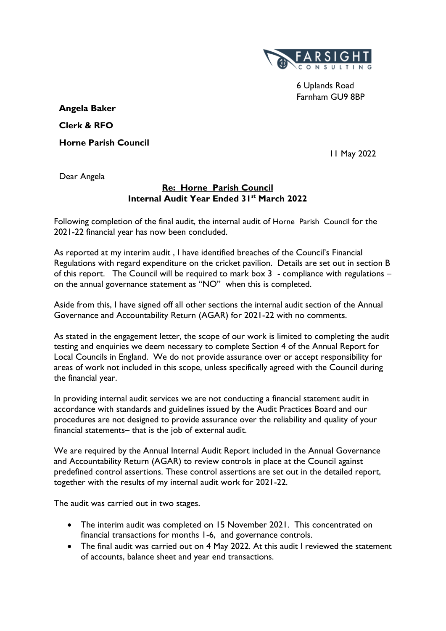

6 Uplands Road Farnham GU9 8BP

 **Angela Baker Clerk & RFO Horne Parish Council**

11 May 2022

Dear Angela

# **Re: Horne Parish Council Internal Audit Year Ended 31st March 2022**

Following completion of the final audit, the internal audit of Horne Parish Council for the 2021-22 financial year has now been concluded.

As reported at my interim audit , I have identified breaches of the Council's Financial Regulations with regard expenditure on the cricket pavilion. Details are set out in section B of this report. The Council will be required to mark box 3 - compliance with regulations – on the annual governance statement as "NO" when this is completed.

Aside from this, I have signed off all other sections the internal audit section of the Annual Governance and Accountability Return (AGAR) for 2021-22 with no comments.

As stated in the engagement letter, the scope of our work is limited to completing the audit testing and enquiries we deem necessary to complete Section 4 of the Annual Report for Local Councils in England. We do not provide assurance over or accept responsibility for areas of work not included in this scope, unless specifically agreed with the Council during the financial year.

In providing internal audit services we are not conducting a financial statement audit in accordance with standards and guidelines issued by the Audit Practices Board and our procedures are not designed to provide assurance over the reliability and quality of your financial statements– that is the job of external audit.

We are required by the Annual Internal Audit Report included in the Annual Governance and Accountability Return (AGAR) to review controls in place at the Council against predefined control assertions. These control assertions are set out in the detailed report, together with the results of my internal audit work for 2021-22.

The audit was carried out in two stages.

- The interim audit was completed on 15 November 2021. This concentrated on financial transactions for months 1-6, and governance controls.
- The final audit was carried out on 4 May 2022. At this audit I reviewed the statement of accounts, balance sheet and year end transactions.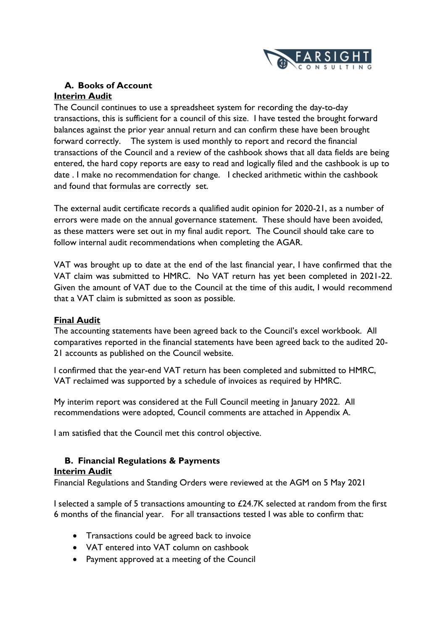

# **A. Books of Account Interim Audit**

The Council continues to use a spreadsheet system for recording the day-to-day transactions, this is sufficient for a council of this size. I have tested the brought forward balances against the prior year annual return and can confirm these have been brought forward correctly. The system is used monthly to report and record the financial transactions of the Council and a review of the cashbook shows that all data fields are being entered, the hard copy reports are easy to read and logically filed and the cashbook is up to date . I make no recommendation for change. I checked arithmetic within the cashbook and found that formulas are correctly set.

The external audit certificate records a qualified audit opinion for 2020-21, as a number of errors were made on the annual governance statement. These should have been avoided, as these matters were set out in my final audit report. The Council should take care to follow internal audit recommendations when completing the AGAR.

VAT was brought up to date at the end of the last financial year, I have confirmed that the VAT claim was submitted to HMRC. No VAT return has yet been completed in 2021-22. Given the amount of VAT due to the Council at the time of this audit, I would recommend that a VAT claim is submitted as soon as possible.

# **Final Audit**

The accounting statements have been agreed back to the Council's excel workbook. All comparatives reported in the financial statements have been agreed back to the audited 20- 21 accounts as published on the Council website.

I confirmed that the year-end VAT return has been completed and submitted to HMRC, VAT reclaimed was supported by a schedule of invoices as required by HMRC.

My interim report was considered at the Full Council meeting in January 2022. All recommendations were adopted, Council comments are attached in Appendix A.

I am satisfied that the Council met this control objective.

# **B. Financial Regulations & Payments**

### **Interim Audit**

Financial Regulations and Standing Orders were reviewed at the AGM on 5 May 2021

I selected a sample of 5 transactions amounting to £24.7K selected at random from the first 6 months of the financial year. For all transactions tested I was able to confirm that:

- Transactions could be agreed back to invoice
- VAT entered into VAT column on cashbook
- Payment approved at a meeting of the Council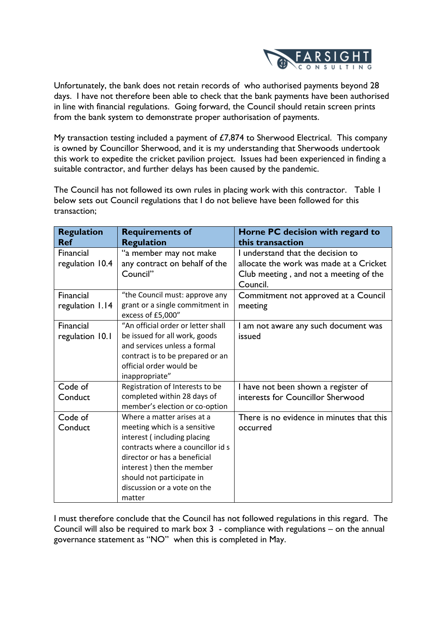

Unfortunately, the bank does not retain records of who authorised payments beyond 28 days. I have not therefore been able to check that the bank payments have been authorised in line with financial regulations. Going forward, the Council should retain screen prints from the bank system to demonstrate proper authorisation of payments.

My transaction testing included a payment of  $£7,874$  to Sherwood Electrical. This company is owned by Councillor Sherwood, and it is my understanding that Sherwoods undertook this work to expedite the cricket pavilion project. Issues had been experienced in finding a suitable contractor, and further delays has been caused by the pandemic.

The Council has not followed its own rules in placing work with this contractor. Table 1 below sets out Council regulations that I do not believe have been followed for this transaction;

| <b>Regulation</b><br><b>Ref</b> | <b>Requirements of</b><br><b>Regulation</b>                                                                                                                                                                                                                       | Horne PC decision with regard to<br>this transaction                                                                               |
|---------------------------------|-------------------------------------------------------------------------------------------------------------------------------------------------------------------------------------------------------------------------------------------------------------------|------------------------------------------------------------------------------------------------------------------------------------|
| Financial<br>regulation 10.4    | "a member may not make<br>any contract on behalf of the<br>Council"                                                                                                                                                                                               | I understand that the decision to<br>allocate the work was made at a Cricket<br>Club meeting, and not a meeting of the<br>Council. |
| Financial<br>regulation 1.14    | "the Council must: approve any<br>grant or a single commitment in<br>excess of £5,000"                                                                                                                                                                            | Commitment not approved at a Council<br>meeting                                                                                    |
| Financial<br>regulation 10.1    | "An official order or letter shall<br>be issued for all work, goods<br>and services unless a formal<br>contract is to be prepared or an<br>official order would be<br>inappropriate"                                                                              | I am not aware any such document was<br>issued                                                                                     |
| Code of<br>Conduct              | Registration of Interests to be<br>completed within 28 days of<br>member's election or co-option                                                                                                                                                                  | I have not been shown a register of<br>interests for Councillor Sherwood                                                           |
| Code of<br>Conduct              | Where a matter arises at a<br>meeting which is a sensitive<br>interest (including placing<br>contracts where a councillor id s<br>director or has a beneficial<br>interest) then the member<br>should not participate in<br>discussion or a vote on the<br>matter | There is no evidence in minutes that this<br>occurred                                                                              |

I must therefore conclude that the Council has not followed regulations in this regard. The Council will also be required to mark box 3 - compliance with regulations – on the annual governance statement as "NO" when this is completed in May.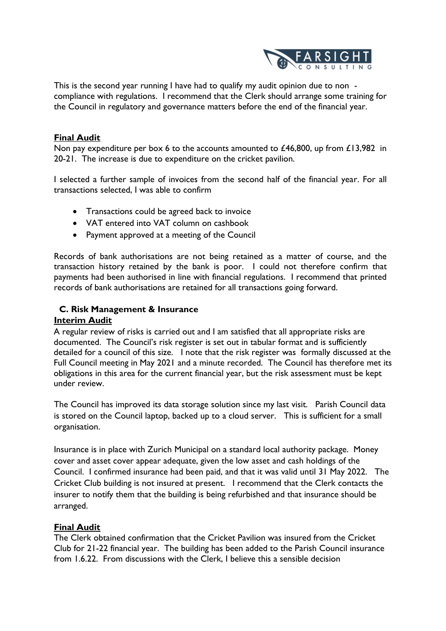

This is the second year running I have had to qualify my audit opinion due to non compliance with regulations. I recommend that the Clerk should arrange some training for the Council in regulatory and governance matters before the end of the financial year.

## **Final Audit**

Non pay expenditure per box 6 to the accounts amounted to £46,800, up from £13,982 in 20-21. The increase is due to expenditure on the cricket pavilion.

I selected a further sample of invoices from the second half of the financial year. For all transactions selected, I was able to confirm

- Transactions could be agreed back to invoice
- VAT entered into VAT column on cashbook
- Payment approved at a meeting of the Council

Records of bank authorisations are not being retained as a matter of course, and the transaction history retained by the bank is poor. I could not therefore confirm that payments had been authorised in line with financial regulations. I recommend that printed records of bank authorisations are retained for all transactions going forward.

### **C. Risk Management & Insurance**

### **Interim Audit**

A regular review of risks is carried out and I am satisfied that all appropriate risks are documented. The Council's risk register is set out in tabular format and is sufficiently detailed for a council of this size. I note that the risk register was formally discussed at the Full Council meeting in May 2021 and a minute recorded. The Council has therefore met its obligations in this area for the current financial year, but the risk assessment must be kept under review.

The Council has improved its data storage solution since my last visit. Parish Council data is stored on the Council laptop, backed up to a cloud server. This is sufficient for a small organisation.

Insurance is in place with Zurich Municipal on a standard local authority package. Money cover and asset cover appear adequate, given the low asset and cash holdings of the Council. I confirmed insurance had been paid, and that it was valid until 31 May 2022. The Cricket Club building is not insured at present. I recommend that the Clerk contacts the insurer to notify them that the building is being refurbished and that insurance should be arranged.

### **Final Audit**

The Clerk obtained confirmation that the Cricket Pavilion was insured from the Cricket Club for 21-22 financial year. The building has been added to the Parish Council insurance from 1.6.22. From discussions with the Clerk, I believe this a sensible decision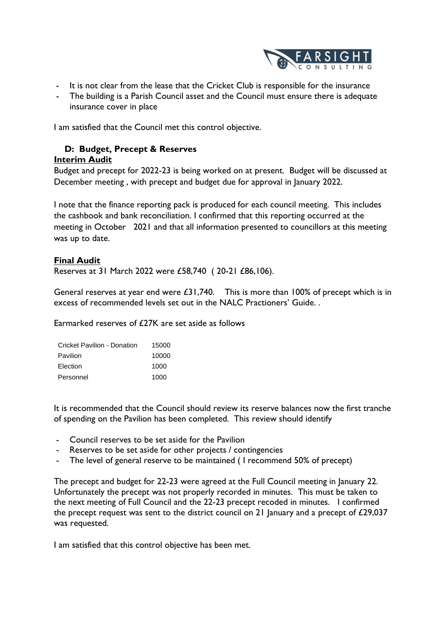

- It is not clear from the lease that the Cricket Club is responsible for the insurance
- The building is a Parish Council asset and the Council must ensure there is adequate insurance cover in place

I am satisfied that the Council met this control objective.

# **D: Budget, Precept & Reserves**

### **Interim Audit**

Budget and precept for 2022-23 is being worked on at present. Budget will be discussed at December meeting , with precept and budget due for approval in January 2022.

I note that the finance reporting pack is produced for each council meeting. This includes the cashbook and bank reconciliation. I confirmed that this reporting occurred at the meeting in October 2021 and that all information presented to councillors at this meeting was up to date.

# **Final Audit**

Reserves at 31 March 2022 were £58,740 ( 20-21 £86,106).

General reserves at year end were £31,740. This is more than 100% of precept which is in excess of recommended levels set out in the NALC Practioners' Guide. .

Earmarked reserves of £27K are set aside as follows

| Cricket Pavilion - Donation | 15000 |
|-----------------------------|-------|
| Pavilion                    | 10000 |
| Election                    | 1000  |
| Personnel                   | 1000  |

It is recommended that the Council should review its reserve balances now the first tranche of spending on the Pavilion has been completed. This review should identify

- Council reserves to be set aside for the Pavilion
- Reserves to be set aside for other projects / contingencies
- The level of general reserve to be maintained ( I recommend 50% of precept)

The precept and budget for 22-23 were agreed at the Full Council meeting in January 22. Unfortunately the precept was not properly recorded in minutes. This must be taken to the next meeting of Full Council and the 22-23 precept recoded in minutes. I confirmed the precept request was sent to the district council on 21 January and a precept of  $£29,037$ was requested.

I am satisfied that this control objective has been met.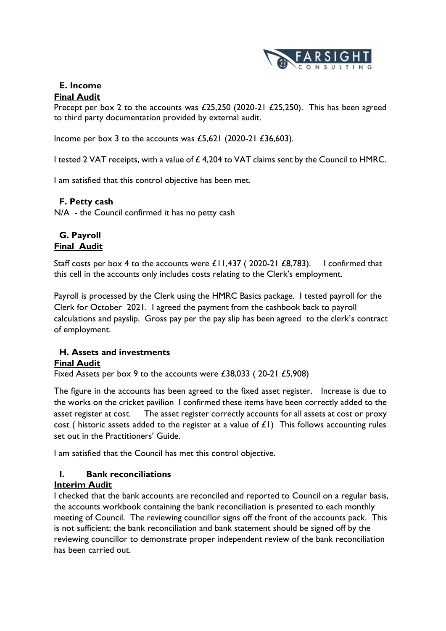

# **E. Income**

# **Final Audit**

Precept per box 2 to the accounts was £25,250 (2020-21 £25,250). This has been agreed to third party documentation provided by external audit.

Income per box 3 to the accounts was  $£5,621$  (2020-21  $£36,603$ ).

I tested 2 VAT receipts, with a value of £4,204 to VAT claims sent by the Council to HMRC.

I am satisfied that this control objective has been met.

# **F. Petty cash**

N/A - the Council confirmed it has no petty cash

# **G. Payroll Final Audit**

Staff costs per box 4 to the accounts were  $£11,437$  (2020-21  $£8,783$ ). I confirmed that this cell in the accounts only includes costs relating to the Clerk's employment.

Payroll is processed by the Clerk using the HMRC Basics package. I tested payroll for the Clerk for October 2021. I agreed the payment from the cashbook back to payroll calculations and payslip. Gross pay per the pay slip has been agreed to the clerk's contract of employment.

# **H. Assets and investments Final Audit**

Fixed Assets per box 9 to the accounts were £38,033 ( 20-21 £5,908)

The figure in the accounts has been agreed to the fixed asset register. Increase is due to the works on the cricket pavilion I confirmed these items have been correctly added to the asset register at cost. The asset register correctly accounts for all assets at cost or proxy cost ( historic assets added to the register at a value of  $E(1)$ ) This follows accounting rules set out in the Practitioners' Guide.

I am satisfied that the Council has met this control objective.

# **I. Bank reconciliations**

# **Interim Audit**

I checked that the bank accounts are reconciled and reported to Council on a regular basis, the accounts workbook containing the bank reconciliation is presented to each monthly meeting of Council. The reviewing councillor signs off the front of the accounts pack. This is not sufficient; the bank reconciliation and bank statement should be signed off by the reviewing councillor to demonstrate proper independent review of the bank reconciliation has been carried out.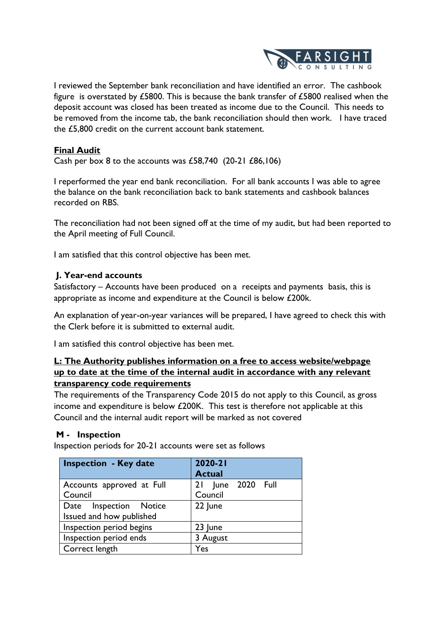

I reviewed the September bank reconciliation and have identified an error. The cashbook figure is overstated by £5800. This is because the bank transfer of £5800 realised when the deposit account was closed has been treated as income due to the Council. This needs to be removed from the income tab, the bank reconciliation should then work. I have traced the £5,800 credit on the current account bank statement.

# **Final Audit**

Cash per box 8 to the accounts was £58,740 (20-21 £86,106)

I reperformed the year end bank reconciliation. For all bank accounts I was able to agree the balance on the bank reconciliation back to bank statements and cashbook balances recorded on RBS.

The reconciliation had not been signed off at the time of my audit, but had been reported to the April meeting of Full Council.

I am satisfied that this control objective has been met.

# **J. Year-end accounts**

Satisfactory – Accounts have been produced on a receipts and payments basis, this is appropriate as income and expenditure at the Council is below £200k.

An explanation of year-on-year variances will be prepared, I have agreed to check this with the Clerk before it is submitted to external audit.

I am satisfied this control objective has been met.

# **L: The Authority publishes information on a free to access website/webpage up to date at the time of the internal audit in accordance with any relevant transparency code requirements**

The requirements of the Transparency Code 2015 do not apply to this Council, as gross income and expenditure is below £200K. This test is therefore not applicable at this Council and the internal audit report will be marked as not covered

# **M - Inspection**

Inspection periods for 20-21 accounts were set as follows

| <b>Inspection - Key date</b> | 2020-21<br><b>Actual</b> |  |  |
|------------------------------|--------------------------|--|--|
| Accounts approved at Full    | 21 June 2020 Full        |  |  |
| Council                      | Council                  |  |  |
| Date Inspection Notice       | 22 June                  |  |  |
| Issued and how published     |                          |  |  |
| Inspection period begins     | 23 June                  |  |  |
| Inspection period ends       | 3 August                 |  |  |
| Correct length               | Yes                      |  |  |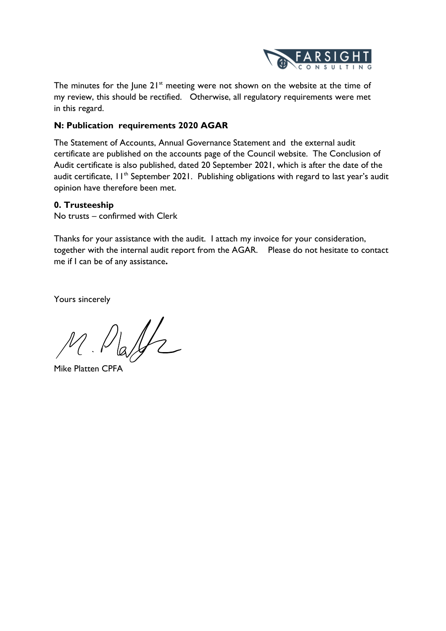

The minutes for the June  $21^{st}$  meeting were not shown on the website at the time of my review, this should be rectified. Otherwise, all regulatory requirements were met in this regard.

# **N: Publication requirements 2020 AGAR**

The Statement of Accounts, Annual Governance Statement and the external audit certificate are published on the accounts page of the Council website. The Conclusion of Audit certificate is also published, dated 20 September 2021, which is after the date of the audit certificate,  $11<sup>th</sup>$  September 2021. Publishing obligations with regard to last year's audit opinion have therefore been met.

# **0. Trusteeship**

No trusts – confirmed with Clerk

Thanks for your assistance with the audit. I attach my invoice for your consideration, together with the internal audit report from the AGAR. Please do not hesitate to contact me if I can be of any assistance**.**

Yours sincerely

M. Platfz

Mike Platten CPFA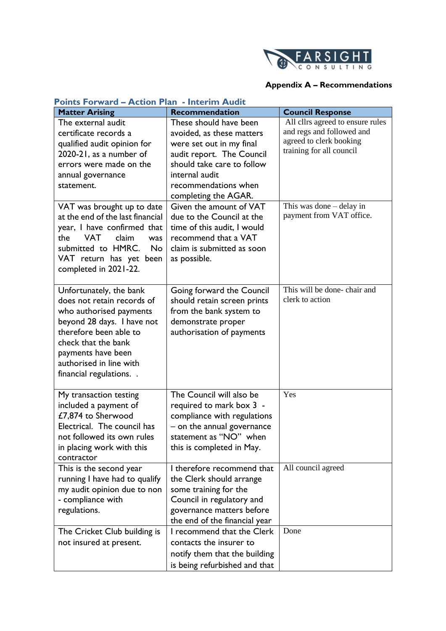

# **Appendix A – Recommendations**

| <b>Points Forward - Action Plan - Interim Audit</b>                                                                                                                                                                                                                                                                                                                     |                                                                                                                                                                                                                                                                                                                                                                           |                                                                                                                                                                              |  |  |  |
|-------------------------------------------------------------------------------------------------------------------------------------------------------------------------------------------------------------------------------------------------------------------------------------------------------------------------------------------------------------------------|---------------------------------------------------------------------------------------------------------------------------------------------------------------------------------------------------------------------------------------------------------------------------------------------------------------------------------------------------------------------------|------------------------------------------------------------------------------------------------------------------------------------------------------------------------------|--|--|--|
| <b>Matter Arising</b>                                                                                                                                                                                                                                                                                                                                                   | <b>Recommendation</b>                                                                                                                                                                                                                                                                                                                                                     | <b>Council Response</b>                                                                                                                                                      |  |  |  |
| The external audit<br>certificate records a<br>qualified audit opinion for<br>2020-21, as a number of<br>errors were made on the<br>annual governance<br>statement.<br>VAT was brought up to date<br>at the end of the last financial<br>year, I have confirmed that<br>the<br><b>VAT</b><br>claim<br>was<br>submitted to HMRC.<br><b>No</b><br>VAT return has yet been | These should have been<br>avoided, as these matters<br>were set out in my final<br>audit report. The Council<br>should take care to follow<br>internal audit<br>recommendations when<br>completing the AGAR.<br>Given the amount of VAT<br>due to the Council at the<br>time of this audit, I would<br>recommend that a VAT<br>claim is submitted as soon<br>as possible. | All cllrs agreed to ensure rules<br>and regs and followed and<br>agreed to clerk booking<br>training for all council<br>This was done – delay in<br>payment from VAT office. |  |  |  |
| completed in 2021-22.<br>Unfortunately, the bank<br>does not retain records of<br>who authorised payments<br>beyond 28 days. I have not<br>therefore been able to<br>check that the bank<br>payments have been<br>authorised in line with<br>financial regulations                                                                                                      | Going forward the Council<br>should retain screen prints<br>from the bank system to<br>demonstrate proper<br>authorisation of payments                                                                                                                                                                                                                                    | This will be done-chair and<br>clerk to action                                                                                                                               |  |  |  |
| My transaction testing<br>included a payment of<br>£7,874 to Sherwood<br>Electrical. The council has<br>not followed its own rules<br>in placing work with this<br>contractor                                                                                                                                                                                           | The Council will also be<br>required to mark box 3 -<br>compliance with regulations<br>- on the annual governance<br>statement as "NO" when<br>this is completed in May.                                                                                                                                                                                                  | Yes                                                                                                                                                                          |  |  |  |
| This is the second year<br>running I have had to qualify<br>my audit opinion due to non<br>- compliance with<br>regulations.                                                                                                                                                                                                                                            | I therefore recommend that<br>the Clerk should arrange<br>some training for the<br>Council in regulatory and<br>governance matters before<br>the end of the financial year                                                                                                                                                                                                | All council agreed                                                                                                                                                           |  |  |  |
| The Cricket Club building is<br>not insured at present.                                                                                                                                                                                                                                                                                                                 | I recommend that the Clerk<br>contacts the insurer to<br>notify them that the building<br>is being refurbished and that                                                                                                                                                                                                                                                   | Done                                                                                                                                                                         |  |  |  |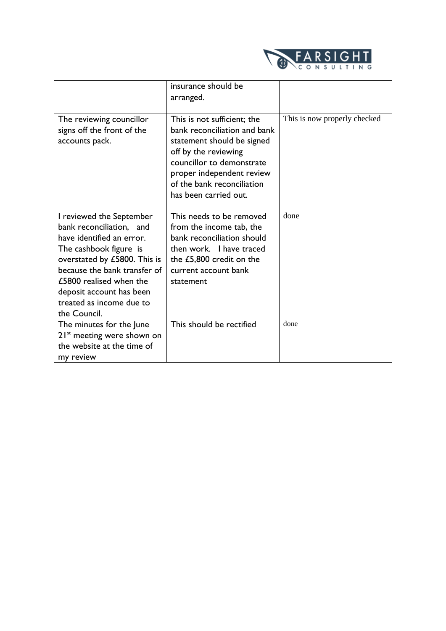

|                                                                                                                                                                                                                                                                                | insurance should be<br>arranged.                                                                                                                                                                                                   |                              |
|--------------------------------------------------------------------------------------------------------------------------------------------------------------------------------------------------------------------------------------------------------------------------------|------------------------------------------------------------------------------------------------------------------------------------------------------------------------------------------------------------------------------------|------------------------------|
| The reviewing councillor<br>signs off the front of the<br>accounts pack.                                                                                                                                                                                                       | This is not sufficient; the<br>bank reconciliation and bank<br>statement should be signed<br>off by the reviewing<br>councillor to demonstrate<br>proper independent review<br>of the bank reconciliation<br>has been carried out. | This is now properly checked |
| I reviewed the September<br>bank reconciliation, and<br>have identified an error.<br>The cashbook figure is<br>overstated by £5800. This is<br>because the bank transfer of<br>£5800 realised when the<br>deposit account has been<br>treated as income due to<br>the Council. | This needs to be removed<br>from the income tab, the<br>bank reconciliation should<br>then work. I have traced<br>the £5,800 credit on the<br>current account bank<br>statement                                                    | done                         |
| The minutes for the June<br>$21st$ meeting were shown on<br>the website at the time of<br>my review                                                                                                                                                                            | This should be rectified                                                                                                                                                                                                           | done                         |